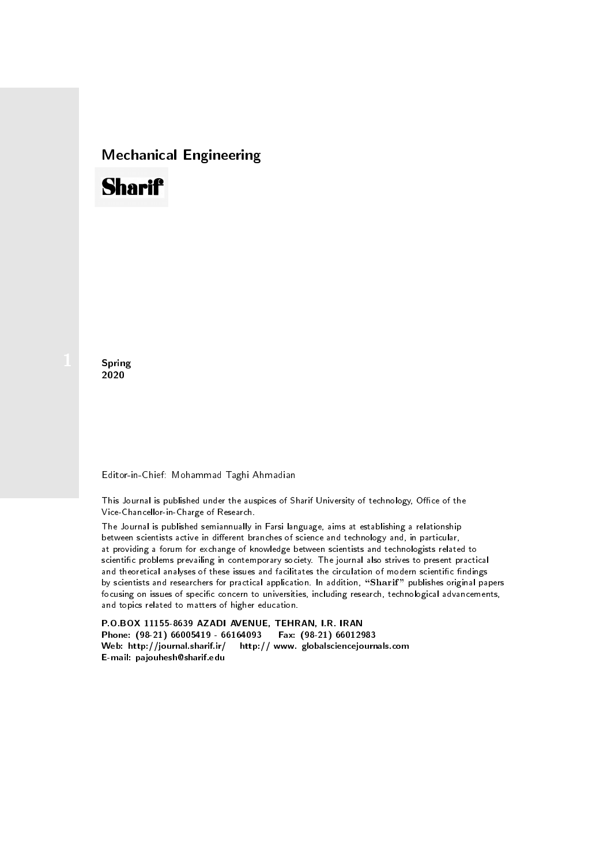## Mechanical Engineering

# **Sharif**

**Spring** 2020

#### Editor-in-Chief: Mohammad Taghi Ahmadian

This Journal is published under the auspices of Sharif University of technology, Office of the Vice-Chancellor-in-Charge of Research.

The Journal is published semiannually in Farsi language, aims at establishing a relationship between scientists active in different branches of science and technology and, in particular, at providing a forum for exchange of knowledge between scientists and technologists related to scientic problems prevailing in contemporary society. The journal also strives to present practical and theoretical analyses of these issues and facilitates the circulation of modern scientific findings by scientists and researchers for practical application. In addition, "Sharif" publishes original papers focusing on issues of specific concern to universities, including research, technological advancements, and topics related to matters of higher education.

P.O.BOX 11155-8639 AZADI AVENUE, TEHRAN, I.R. IRAN Phone: (98-21) 66005419 - 66164093 Fax: (98-21) 66012983 Web: http://journal.sharif.ir/ http:// www. globalsciencejournals.com E-mail: pajouhesh@sharif.edu